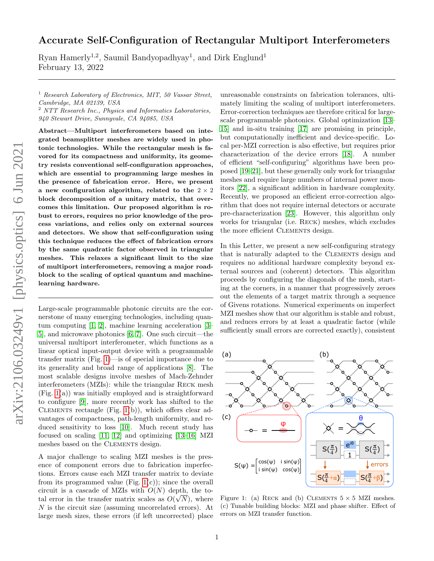# Accurate Self-Configuration of Rectangular Multiport Interferometers

Ryan Hamerly<sup>1,2</sup>, Saumil Bandyopadhyay<sup>1</sup>, and Dirk Englund<sup>1</sup> February 13, 2022

<sup>1</sup> Research Laboratory of Electronics, MIT, 50 Vassar Street, Cambridge, MA 02139, USA

<sup>2</sup> NTT Research Inc., Physics and Informatics Laboratories, 940 Stewart Drive, Sunnyvale, CA 94085, USA

Abstract—Multiport interferometers based on integrated beamsplitter meshes are widely used in photonic technologies. While the rectangular mesh is favored for its compactness and uniformity, its geometry resists conventional self-configuration approaches, which are essential to programming large meshes in the presence of fabrication error. Here, we present a new configuration algorithm, related to the  $2 \times 2$ block decomposition of a unitary matrix, that overcomes this limitation. Our proposed algorithm is robust to errors, requires no prior knowledge of the process variations, and relies only on external sources and detectors. We show that self-configuration using this technique reduces the effect of fabrication errors by the same quadratic factor observed in triangular meshes. This relaxes a significant limit to the size of multiport interferometers, removing a major roadblock to the scaling of optical quantum and machinelearning hardware.

Large-scale programmable photonic circuits are the cornerstone of many emerging technologies, including quantum computing [\[1,](#page-3-0) [2\]](#page-3-1), machine learning acceleration [\[3–](#page-3-2) [5\]](#page-4-0), and microwave photonics [\[6,](#page-4-1) [7\]](#page-4-2). One such circuit—the universal multiport interferometer, which functions as a linear optical input-output device with a programmable transfer matrix (Fig. [1\)](#page-0-0)—is of special importance due to its generality and broad range of applications [\[8\]](#page-4-3). The most scalable designs involve meshes of Mach-Zehnder interferometers (MZIs): while the triangular Reck mesh (Fig. [1\(](#page-0-0)a)) was initially employed and is straightforward to configure [\[9\]](#page-4-4), more recently work has shifted to the CLEMENTS rectangle  $(Fig. 1(b))$  $(Fig. 1(b))$  $(Fig. 1(b))$ , which offers clear advantages of compactness, path-length uniformity, and reduced sensitivity to loss [\[10\]](#page-4-5). Much recent study has focused on scaling [\[11,](#page-4-6) [12\]](#page-4-7) and optimizing [\[13–](#page-4-8)[16\]](#page-4-9) MZI meshes based on the CLEMENTS design.

A major challenge to scaling MZI meshes is the presence of component errors due to fabrication imperfections. Errors cause each MZI transfer matrix to deviate from its programmed value (Fig.  $1(c)$ ); since the overall circuit is a cascade of MZIs with  $O(N)$  depth, the total error in the transfer matrix scales as  $O(\sqrt{N})$ , where N is the circuit size (assuming uncorrelated errors). At large mesh sizes, these errors (if left uncorrected) place

unreasonable constraints on fabrication tolerances, ultimately limiting the scaling of multiport interferometers. Error-correction techniques are therefore critical for largescale programmable photonics. Global optimization [\[13–](#page-4-8) [15\]](#page-4-10) and in-situ training [\[17\]](#page-4-11) are promising in principle, but computationally inefficient and device-specific. Local per-MZI correction is also effective, but requires prior characterization of the device errors [\[18\]](#page-4-12). A number of efficient "self-configuring" algorithms have been proposed [\[19–](#page-4-13)[21\]](#page-4-14), but these generally only work for triangular meshes and require large numbers of internal power monitors [\[22\]](#page-4-15), a significant addition in hardware complexity. Recently, we proposed an efficient error-correction algorithm that does not require internal detectors or accurate pre-characterization [\[23\]](#page-4-16). However, this algorithm only works for triangular (i.e. Reck) meshes, which excludes the more efficient CLEMENTS design.

In this Letter, we present a new self-configuring strategy that is naturally adapted to the Clements design and requires no additional hardware complexity beyond external sources and (coherent) detectors. This algorithm proceeds by configuring the diagonals of the mesh, starting at the corners, in a manner that progressively zeroes out the elements of a target matrix through a sequence of Givens rotations. Numerical experiments on imperfect MZI meshes show that our algorithm is stable and robust, and reduces errors by at least a quadratic factor (while sufficiently small errors are corrected exactly), consistent

<span id="page-0-0"></span>

Figure 1: (a) RECK and (b) CLEMENTS  $5 \times 5$  MZI meshes. (c) Tunable building blocks: MZI and phase shifter. Effect of errors on MZI transfer function.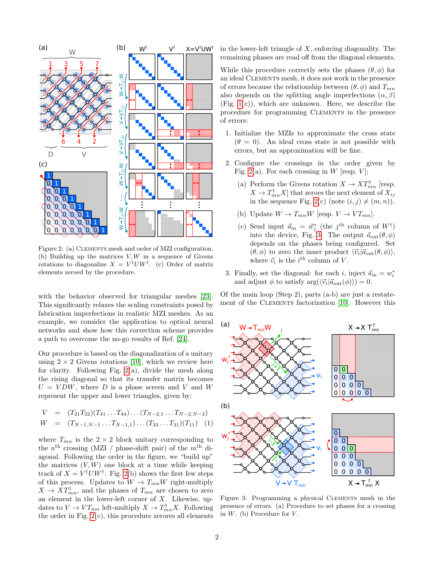<span id="page-1-0"></span>

Figure 2: (a) CLEMENTS mesh and order of MZI configuration. (b) Building up the matrices  $V, W$  in a sequence of Givens rotations to diagonalize  $X = V^{\dagger}U W^{\dagger}$ . (c) Order of matrix elements zeroed by the procedure.

with the behavior observed for triangular meshes [\[23\]](#page-4-16). This significantly relaxes the scaling constraints posed by fabrication imperfections in realistic MZI meshes. As an example, we consider the application to optical neural networks and show how this correction scheme provides a path to overcome the no-go results of Ref. [\[24\]](#page-4-17).

Our procedure is based on the diagonalization of a unitary using  $2 \times 2$  Givens rotations [\[10\]](#page-4-5), which we review here for clarity. Following Fig.  $2(a)$ , divide the mesh along the rising diagonal so that its transfer matrix becomes  $U = VDW$ , where D is a phase screen and V and W represent the upper and lower triangles, given by:

$$
V = (T_{21}T_{22})(T_{41}...T_{44})...(T_{N-2,1}...T_{N-2,N-2})
$$
  
\n
$$
W = (T_{N-1,N-1}...T_{N-1,1})...(T_{33}...T_{31})(T_{11})
$$
 (1)

where  $T_{mn}$  is the  $2 \times 2$  block unitary corresponding to the  $n<sup>th</sup>$  crossing (MZI / phase-shift pair) of the  $m<sup>th</sup>$  diagonal. Following the order in the figure, we "build up" the matrices  $(V, W)$  one block at a time while keeping track of  $X = V^{\dagger}U W^{\dagger}$ . Fig. [2\(](#page-1-0)b) shows the first few steps of this process. Updates to  $W \to T_{mn}W$  right-multiply  $X \to XT^{\dagger}_{mn}$ , and the phases of  $T_{mn}$  are chosen to zero an element in the lower-left corner of  $X$ . Likewise, updates to  $V \to VT_{mn}$  left-multiply  $X \to T^{\dagger}_{mn} X$ . Following the order in Fig.  $2(c)$ , this procedure zerores all elements in the lower-left triangle of  $X$ , enforcing diagonality. The remaining phases are read off from the diagonal elements.

While this procedure correctly sets the phases  $(\theta, \phi)$  for an ideal Clements mesh, it does not work in the presence of errors because the relationship between  $(\theta, \phi)$  and  $T_{mn}$ also depends on the splitting angle imperfections  $(\alpha, \beta)$ (Fig. [1\(](#page-0-0)c)), which are unknown. Here, we describe the procedure for programming Clements in the presence of errors:

- 1. Initialize the MZIs to approximate the cross state  $(\theta = 0)$ . An ideal cross state is not possible with errors, but an approximation will be fine.
- 2. Configure the crossings in the order given by Fig. [2\(](#page-1-0)a). For each crossing in W [resp.  $V$ ]:
	- (a) Perform the Givens rotation  $X \to XT^{\dagger}_{mn}$  [resp.  $X \to T^{\dagger}_{mn} X]$  that zeroes the next element of  $X_{ij}$ in the sequence Fig. [2\(](#page-1-0)c) (note  $(i, j) \neq (m, n)$ ).
	- (b) Update  $W \to T_{mn}W$  [resp.  $V \to VT_{mn}$ ].
	- (c) Send input  $\vec{a}_{in} = \vec{w}_j^*$  (the j<sup>th</sup> column of  $W^{\dagger}$ ) into the device, Fig. [3.](#page-1-1) The output  $\vec{a}_{\text{out}}(\theta, \phi)$ depends on the phases being configured. Set  $(\theta, \phi)$  to zero the inner product  $\langle \vec{v}_i | \vec{a}_{\text{out}}(\theta, \phi) \rangle$ , where  $\vec{v}_i$  is the *i*<sup>th</sup> column of *V*.
- 3. Finally, set the diagonal: for each *i*, inject  $\vec{a}_{in} = w_i^*$ and adjust  $\phi$  to satisfy  $\arg(\langle \vec{v}_i | \vec{a}_{\text{out}}(\phi) \rangle) = 0.$

Of the main loop (Step 2), parts (a-b) are just a restate-ment of the CLEMENTS factorization [\[10\]](#page-4-5). However this

<span id="page-1-1"></span>

Figure 3: Programming a physical CLEMENTS mesh in the presence of errors. (a) Procedure to set phases for a crossing in  $W$ . (b) Procedure for  $V$ .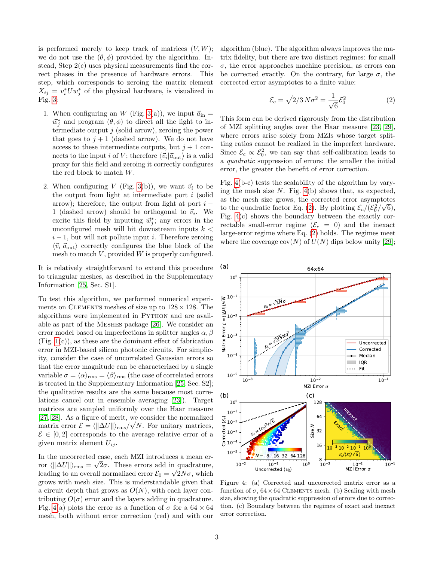is performed merely to keep track of matrices  $(V, W)$ ; we do not use the  $(\theta, \phi)$  provided by the algorithm. Instead, Step 2(c) uses physical measurements find the correct phases in the presence of hardware errors. This step, which corresponds to zeroing the matrix element  $X_{ij} = v_i^* U w_j^*$  of the physical hardware, is visualized in Fig. [3:](#page-1-1)

- 1. When configuring an  $W$  (Fig. [3\(](#page-1-1)a)), we input  $\vec{a}_{in}$  =  $\vec{w}_j^*$  and program  $(\theta, \phi)$  to direct all the light to intermediate output  $j$  (solid arrow), zeroing the power that goes to  $j + 1$  (dashed arrow). We do not have access to these intermediate outputs, but  $j + 1$  connects to the input *i* of *V*; therefore  $\langle \vec{v_i} | \vec{a}_{\text{out}} \rangle$  is a valid proxy for this field and zeroing it correctly configures the red block to match W.
- 2. When configuring V (Fig. [3\(](#page-1-1)b)), we want  $\vec{v}_i$  to be the output from light at intermediate port  $i$  (solid arrow); therefore, the output from light at port  $i -$ 1 (dashed arrow) should be orthogonal to  $\vec{v}_i$ . We excite this field by inputting  $\vec{w}_j^*$ ; any errors in the unconfigured mesh will hit downstream inputs  $k <$  $i - 1$ , but will not pollute input i. Therefore zeroing  $\langle \vec{v}_i | \vec{a}_{\text{out}} \rangle$  correctly configures the blue block of the mesh to match  $V$ , provided  $W$  is properly configured.

It is relatively straightforward to extend this procedure to triangular meshes, as described in the Supplementary Information [\[25,](#page-4-18) Sec. S1].

To test this algorithm, we performed numerical experiments on CLEMENTS meshes of size up to  $128 \times 128$ . The algorithms were implemented in Python and are available as part of the Meshes package [\[26\]](#page-4-19). We consider an error model based on imperfections in splitter angles  $\alpha$ ,  $\beta$  $(Fig. 1(c))$  $(Fig. 1(c))$  $(Fig. 1(c))$ , as these are the dominant effect of fabrication error in MZI-based silicon photonic circuits. For simplicity, consider the case of uncorrelated Gaussian errors so that the error magnitude can be characterized by a single variable  $\sigma = \langle \alpha \rangle_{\rm rms} = \langle \beta \rangle_{\rm rms}$  (the case of correlated errors is treated in the Supplementary Information [\[25,](#page-4-18) Sec. S2]; the qualitative results are the same because most correlations cancel out in ensemble averaging [\[23\]](#page-4-16)). Target matrices are sampled uniformly over the Haar measure [\[27,](#page-4-20) [28\]](#page-4-21). As a figure of merit, we consider the normalized matrix error  $\mathcal{E} = \langle \lVert \Delta U \rVert \rangle_{\text{rms}} / \sqrt{N}$ . For unitary matrices,  $\mathcal{E} \in [0, 2]$  corresponds to the average relative error of a given matrix element  $U_{ij}$ .

In the uncorrected case, each MZI introduces a mean error  $\langle \Vert \Delta U \Vert \rangle_{\text{rms}} = \sqrt{2\sigma}$ . These errors add in quadrature, leading to an overall normalized error  $\mathcal{E}_0 = \sqrt{2N\sigma}$ , which grows with mesh size. This is understandable given that a circuit depth that grows as  $O(N)$ , with each layer contributing  $O(\sigma)$  error and the layers adding in quadrature. Fig. [4\(](#page-2-0)a) plots the error as a function of  $\sigma$  for a 64  $\times$  64 mesh, both without error correction (red) and with our algorithm (blue). The algorithm always improves the matrix fidelity, but there are two distinct regimes: for small  $\sigma$ , the error approaches machine precision, as errors can be corrected exactly. On the contrary, for large  $\sigma$ , the corrected error asymptotes to a finite value:

<span id="page-2-1"></span>
$$
\mathcal{E}_c = \sqrt{2/3} N \sigma^2 = \frac{1}{\sqrt{6}} \mathcal{E}_0^2 \tag{2}
$$

This form can be derived rigorously from the distribution of MZI splitting angles over the Haar measure [\[23,](#page-4-16) [29\]](#page-4-22), where errors arise solely from MZIs whose target splitting ratios cannot be realized in the imperfect hardware. Since  $\mathcal{E}_c \propto \mathcal{E}_0^2$ , we can say that self-calibration leads to a quadratic suppression of errors: the smaller the initial error, the greater the benefit of error correction.

Fig. [4\(](#page-2-0)b-c) tests the scalability of the algorithm by varying the mesh size  $N$ . Fig. [4\(](#page-2-0)b) shows that, as expected, as the mesh size grows, the corrected error asymptotes to the quadratic factor Eq. [\(2\)](#page-2-1). By plotting  $\mathcal{E}_c/(\mathcal{E}_0^2/\sqrt{6})$ , Fig. [4\(](#page-2-0)c) shows the boundary between the exactly correctable small-error regime  $(\mathcal{E}_c = 0)$  and the inexact large-error regime where Eq. [\(2\)](#page-2-1) holds. The regimes meet where the coverage  $cov(N)$  of  $U(N)$  dips below unity [\[29\]](#page-4-22);

<span id="page-2-0"></span>

Figure 4: (a) Corrected and uncorrected matrix error as a function of  $\sigma$ ,  $64 \times 64$  CLEMENTS mesh. (b) Scaling with mesh size, showing the quadratic suppression of errors due to correction. (c) Boundary between the regimes of exact and inexact error correction.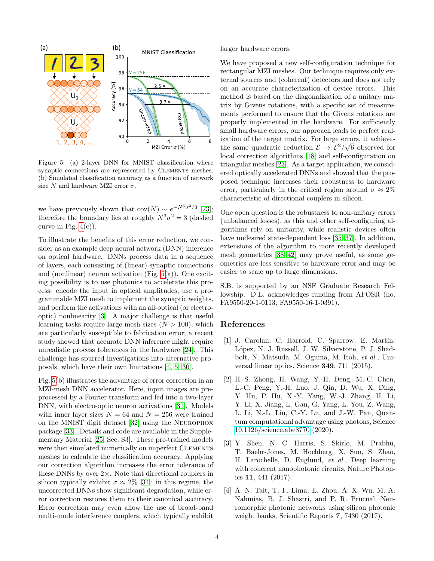<span id="page-3-3"></span>

Figure 5: (a) 2-layer DNN for MNIST classification where synaptic connections are represented by CLEMENTS meshes. (b) Simulated classification accuracy as a function of network size N and hardware MZI error  $\sigma$ .

we have previously shown that  $cov(N) \sim e^{-N^3 \sigma^2/3}$  [\[23\]](#page-4-16); therefore the boundary lies at roughly  $N^3\sigma^2=3$  (dashed curve in Fig.  $4(c)$ ).

To illustrate the benefits of this error reduction, we consider as an example deep neural network (DNN) inference on optical hardware. DNNs process data in a sequence of layers, each consisting of (linear) synaptic connections and (nonlinear) neuron activation (Fig. [5\(](#page-3-3)a)). One exciting possibility is to use photonics to accelerate this process: encode the input in optical amplitudes, use a programmable MZI mesh to implement the synaptic weights, and perform the activations with an all-optical (or electrooptic) nonlinearity [\[3\]](#page-3-2). A major challenge is that useful learning tasks require large mesh sizes  $(N > 100)$ , which are particularly susceptible to fabrication error; a recent study showed that accurate DNN inference might require unrealistic process tolerances in the hardware [\[24\]](#page-4-17). This challenge has spurred investigations into alternative proposals, which have their own limitations [\[4,](#page-3-4) [5,](#page-4-0) [30\]](#page-4-23).

Fig. [5\(](#page-3-3)b) illustrates the advantage of error correction in an MZI-mesh DNN accelerator. Here, input images are preprocessed by a Fourier transform and fed into a two-layer DNN, with electro-optic neuron activations [\[31\]](#page-5-0). Models with inner layer sizes  $N = 64$  and  $N = 256$  were trained on the MNIST digit dataset [\[32\]](#page-5-1) using the Neurophox package [\[33\]](#page-5-2). Details and code are available in the Supplementary Material [\[25,](#page-4-18) Sec. S3]. These pre-trained models were then simulated numerically on imperfect CLEMENTS meshes to calculate the classification accuracy. Applying our correction algorithm increases the error tolerance of these DNNs by over 2×. Note that directional couplers in silicon typically exhibit  $\sigma \approx 2\%$  [\[34\]](#page-5-3); in this regime, the uncorrected DNNs show significant degradation, while error correction restores them to their canonical accuracy. Error correction may even allow the use of broad-band multi-mode interference couplers, which typically exhibit larger hardware errors.

We have proposed a new self-configuration technique for rectangular MZI meshes. Our technique requires only external sources and (coherent) detectors and does not rely on an accurate characterization of device errors. This method is based on the diagonalization of a unitary matrix by Givens rotations, with a specific set of measurements performed to ensure that the Givens rotations are properly implemented in the hardware. For sufficiently small hardware errors, our approach leads to perfect realization of the target matrix. For large errors, it achieves the same quadratic reduction  $\mathcal{E} \to \mathcal{E}^2/\sqrt{6}$  observed for local correction algorithms [\[18\]](#page-4-12) and self-configuration on triangular meshes [\[23\]](#page-4-16). As a target application, we considered optically accelerated DNNs and showed that the proposed technique increases their robustness to hardware error, particularly in the critical region around  $\sigma \approx 2\%$ characteristic of directional couplers in silicon.

One open question is the robustness to non-unitary errors (unbalanced losses), as this and other self-configuring algorithms rely on unitarity, while realistic devices often have undesired state-dependent loss [\[35](#page-5-4)[–37\]](#page-5-5). In addition, extensions of the algorithm to more recently developed mesh geometries [\[38–](#page-5-6)[42\]](#page-5-7) may prove useful, as some geometries are less sensitive to hardware error and may be easier to scale up to large dimensions.

S.B. is supported by an NSF Graduate Research Fellowship. D.E. acknowledges funding from AFOSR (no. FA9550-20-1-0113, FA9550-16-1-0391).

### References

- <span id="page-3-0"></span>[1] J. Carolan, C. Harrold, C. Sparrow, E. Martín-López, N. J. Russell, J. W. Silverstone, P. J. Shadbolt, N. Matsuda, M. Oguma, M. Itoh, et al., Universal linear optics, Science 349, 711 (2015).
- <span id="page-3-1"></span>[2] H.-S. Zhong, H. Wang, Y.-H. Deng, M.-C. Chen, L.-C. Peng, Y.-H. Luo, J. Qin, D. Wu, X. Ding, Y. Hu, P. Hu, X.-Y. Yang, W.-J. Zhang, H. Li, Y. Li, X. Jiang, L. Gan, G. Yang, L. You, Z. Wang, L. Li, N.-L. Liu, C.-Y. Lu, and J.-W. Pan, Quantum computational advantage using photons, Science [10.1126/science.abe8770](https://doi.org/10.1126/science.abe8770) (2020).
- <span id="page-3-2"></span>[3] Y. Shen, N. C. Harris, S. Skirlo, M. Prabhu, T. Baehr-Jones, M. Hochberg, X. Sun, S. Zhao, H. Larochelle, D. Englund, et al., Deep learning with coherent nanophotonic circuits, Nature Photonics 11, 441 (2017).
- <span id="page-3-4"></span>[4] A. N. Tait, T. F. Lima, E. Zhou, A. X. Wu, M. A. Nahmias, B. J. Shastri, and P. R. Prucnal, Neuromorphic photonic networks using silicon photonic weight banks, Scientific Reports 7, 7430 (2017).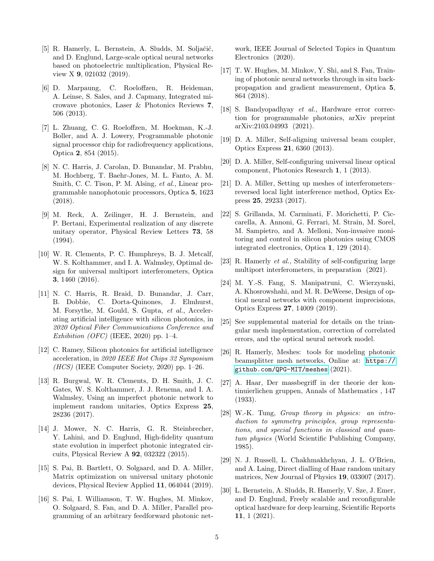- <span id="page-4-0"></span>[5] R. Hamerly, L. Bernstein, A. Sludds, M. Soljačić, and D. Englund, Large-scale optical neural networks based on photoelectric multiplication, Physical Review X 9, 021032 (2019).
- <span id="page-4-1"></span>[6] D. Marpaung, C. Roeloffzen, R. Heideman, A. Leinse, S. Sales, and J. Capmany, Integrated microwave photonics, Laser & Photonics Reviews 7, 506 (2013).
- <span id="page-4-2"></span>[7] L. Zhuang, C. G. Roeloffzen, M. Hoekman, K.-J. Boller, and A. J. Lowery, Programmable photonic signal processor chip for radiofrequency applications, Optica 2, 854 (2015).
- <span id="page-4-3"></span>[8] N. C. Harris, J. Carolan, D. Bunandar, M. Prabhu, M. Hochberg, T. Baehr-Jones, M. L. Fanto, A. M. Smith, C. C. Tison, P. M. Alsing, et al., Linear programmable nanophotonic processors, Optica 5, 1623 (2018).
- <span id="page-4-4"></span>[9] M. Reck, A. Zeilinger, H. J. Bernstein, and P. Bertani, Experimental realization of any discrete unitary operator, Physical Review Letters 73, 58 (1994).
- <span id="page-4-5"></span>[10] W. R. Clements, P. C. Humphreys, B. J. Metcalf, W. S. Kolthammer, and I. A. Walmsley, Optimal design for universal multiport interferometers, Optica 3, 1460 (2016).
- <span id="page-4-6"></span>[11] N. C. Harris, R. Braid, D. Bunandar, J. Carr, B. Dobbie, C. Dorta-Quinones, J. Elmhurst, M. Forsythe, M. Gould, S. Gupta, et al., Accelerating artificial intelligence with silicon photonics, in 2020 Optical Fiber Communications Conference and Exhibition (OFC) (IEEE, 2020) pp. 1–4.
- <span id="page-4-7"></span>[12] C. Ramey, Silicon photonics for artificial intelligence acceleration, in 2020 IEEE Hot Chips 32 Symposium  $(HCS)$  (IEEE Computer Society, 2020) pp. 1–26.
- <span id="page-4-8"></span>[13] R. Burgwal, W. R. Clements, D. H. Smith, J. C. Gates, W. S. Kolthammer, J. J. Renema, and I. A. Walmsley, Using an imperfect photonic network to implement random unitaries, Optics Express 25, 28236 (2017).
- [14] J. Mower, N. C. Harris, G. R. Steinbrecher, Y. Lahini, and D. Englund, High-fidelity quantum state evolution in imperfect photonic integrated circuits, Physical Review A 92, 032322 (2015).
- <span id="page-4-10"></span>[15] S. Pai, B. Bartlett, O. Solgaard, and D. A. Miller, Matrix optimization on universal unitary photonic devices, Physical Review Applied 11, 064044 (2019).
- <span id="page-4-9"></span>[16] S. Pai, I. Williamson, T. W. Hughes, M. Minkov, O. Solgaard, S. Fan, and D. A. Miller, Parallel programming of an arbitrary feedforward photonic net-

work, IEEE Journal of Selected Topics in Quantum Electronics (2020).

- <span id="page-4-11"></span>[17] T. W. Hughes, M. Minkov, Y. Shi, and S. Fan, Training of photonic neural networks through in situ backpropagation and gradient measurement, Optica 5, 864 (2018).
- <span id="page-4-12"></span>[18] S. Bandyopadhyay et al., Hardware error correction for programmable photonics, arXiv preprint arXiv:2103.04993 (2021).
- <span id="page-4-13"></span>[19] D. A. Miller, Self-aligning universal beam coupler, Optics Express 21, 6360 (2013).
- [20] D. A. Miller, Self-configuring universal linear optical component, Photonics Research 1, 1 (2013).
- <span id="page-4-14"></span>[21] D. A. Miller, Setting up meshes of interferometers– reversed local light interference method, Optics Express 25, 29233 (2017).
- <span id="page-4-15"></span>[22] S. Grillanda, M. Carminati, F. Morichetti, P. Ciccarella, A. Annoni, G. Ferrari, M. Strain, M. Sorel, M. Sampietro, and A. Melloni, Non-invasive monitoring and control in silicon photonics using CMOS integrated electronics, Optica 1, 129 (2014).
- <span id="page-4-16"></span>[23] R. Hamerly et al., Stability of self-configuring large multiport interferometers, in preparation (2021).
- <span id="page-4-17"></span>[24] M. Y.-S. Fang, S. Manipatruni, C. Wierzynski, A. Khosrowshahi, and M. R. DeWeese, Design of optical neural networks with component imprecisions, Optics Express 27, 14009 (2019).
- <span id="page-4-18"></span>[25] See supplemental material for details on the triangular mesh implementation, correction of correlated errors, and the optical neural network model.
- <span id="page-4-19"></span>[26] R. Hamerly, Meshes: tools for modeling photonic beamsplitter mesh networks, Online at: [https://](https://github.com/QPG-MIT/meshes) [github.com/QPG-MIT/meshes](https://github.com/QPG-MIT/meshes) (2021).
- <span id="page-4-20"></span>[27] A. Haar, Der massbegriff in der theorie der kontinuierlichen gruppen, Annals of Mathematics , 147 (1933).
- <span id="page-4-21"></span>[28] W.-K. Tung, Group theory in physics: an introduction to symmetry principles, group representations, and special functions in classical and quantum physics (World Scientific Publishing Company, 1985).
- <span id="page-4-22"></span>[29] N. J. Russell, L. Chakhmakhchyan, J. L. O'Brien, and A. Laing, Direct dialling of Haar random unitary matrices, New Journal of Physics 19, 033007 (2017).
- <span id="page-4-23"></span>[30] L. Bernstein, A. Sludds, R. Hamerly, V. Sze, J. Emer, and D. Englund, Freely scalable and reconfigurable optical hardware for deep learning, Scientific Reports 11, 1 (2021).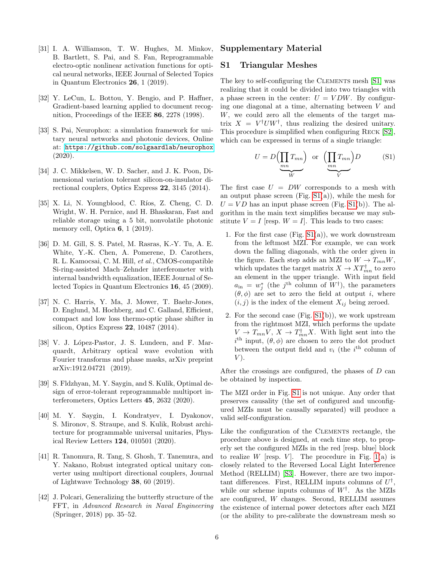- <span id="page-5-0"></span>[31] I. A. Williamson, T. W. Hughes, M. Minkov, B. Bartlett, S. Pai, and S. Fan, Reprogrammable electro-optic nonlinear activation functions for optical neural networks, IEEE Journal of Selected Topics in Quantum Electronics 26, 1 (2019).
- <span id="page-5-1"></span>[32] Y. LeCun, L. Bottou, Y. Bengio, and P. Haffner, Gradient-based learning applied to document recognition, Proceedings of the IEEE 86, 2278 (1998).
- <span id="page-5-2"></span>[33] S. Pai, Neurophox: a simulation framework for unitary neural networks and photonic devices, Online at: <https://github.com/solgaardlab/neurophox> (2020).
- <span id="page-5-3"></span>[34] J. C. Mikkelsen, W. D. Sacher, and J. K. Poon, Dimensional variation tolerant silicon-on-insulator directional couplers, Optics Express 22, 3145 (2014).
- <span id="page-5-4"></span> $[35]$  X. Li, N. Youngblood, C. Ríos, Z. Cheng, C. D. Wright, W. H. Pernice, and H. Bhaskaran, Fast and reliable storage using a 5 bit, nonvolatile photonic memory cell, Optica 6, 1 (2019).
- [36] D. M. Gill, S. S. Patel, M. Rasras, K.-Y. Tu, A. E. White, Y.-K. Chen, A. Pomerene, D. Carothers, R. L. Kamocsai, C. M. Hill, et al., CMOS-compatible Si-ring-assisted Mach–Zehnder interferometer with internal bandwidth equalization, IEEE Journal of Selected Topics in Quantum Electronics 16, 45 (2009).
- <span id="page-5-5"></span>[37] N. C. Harris, Y. Ma, J. Mower, T. Baehr-Jones, D. Englund, M. Hochberg, and C. Galland, Efficient, compact and low loss thermo-optic phase shifter in silicon, Optics Express 22, 10487 (2014).
- <span id="page-5-6"></span>[38] V. J. López-Pastor, J. S. Lundeen, and F. Marquardt, Arbitrary optical wave evolution with Fourier transforms and phase masks, arXiv preprint arXiv:1912.04721 (2019).
- [39] S. Fldzhyan, M. Y. Saygin, and S. Kulik, Optimal design of error-tolerant reprogrammable multiport interferometers, Optics Letters 45, 2632 (2020).
- [40] M. Y. Saygin, I. Kondratyev, I. Dyakonov, S. Mironov, S. Straupe, and S. Kulik, Robust architecture for programmable universal unitaries, Physical Review Letters 124, 010501 (2020).
- [41] R. Tanomura, R. Tang, S. Ghosh, T. Tanemura, and Y. Nakano, Robust integrated optical unitary converter using multiport directional couplers, Journal of Lightwave Technology 38, 60 (2019).
- <span id="page-5-7"></span>[42] J. Polcari, Generalizing the butterfly structure of the FFT, in Advanced Research in Naval Engineering (Springer, 2018) pp. 35–52.

## Supplementary Material

## S1 Triangular Meshes

The key to self-configuring the CLEMENTS mesh [\[S1\]](#page-7-0) was realizing that it could be divided into two triangles with a phase screen in the center:  $U = VDW$ . By configuring one diagonal at a time, alternating between V and W, we could zero all the elements of the target matrix  $X = V^{\dagger}U W^{\dagger}$ , thus realizing the desired unitary. This procedure is simplified when configuring Reck [\[S2\]](#page-7-1), which can be expressed in terms of a single triangle:

$$
U = D\left(\prod_{mn} T_{mn}\right) \text{ or } \left(\prod_{mn} T_{mn}\right)D \tag{S1}
$$

The first case  $U = DW$  corresponds to a mesh with an output phase screen (Fig.  $S1(a)$ ), while the mesh for  $U = V D$  has an input phase screen (Fig. [S1\(](#page-6-0)b)). The algorithm in the main text simplifies because we may substitute  $V = I$  [resp.  $W = I$ ]. This leads to two cases:

- 1. For the first case  $(Fig. S1(a))$  $(Fig. S1(a))$  $(Fig. S1(a))$ , we work downstream from the leftmost MZI. For example, we can work down the falling diagonals, with the order given in the figure. Each step adds an MZI to  $W \to T_{mn}W$ , which updates the target matrix  $X \to XT^{\dagger}_{mn}$  to zero an element in the upper triangle. With input field  $a_{\text{in}} = w_j^*$  (the j<sup>th</sup> column of  $W^{\dagger}$ ), the parameters  $(\theta, \phi)$  are set to zero the field at output i, where  $(i, j)$  is the index of the element  $X_{ij}$  being zeroed.
- 2. For the second case  $(Fig. S1(b))$  $(Fig. S1(b))$  $(Fig. S1(b))$ , we work upstream from the rightmost MZI, which performs the update  $V \to T_{mn}V$ ,  $X \to T^{\dagger}_{mn}X$ . With light sent into the  $i<sup>th</sup>$  input,  $(\theta, \phi)$  are chosen to zero the dot product between the output field and  $v_i$  (the  $i^{\text{th}}$  column of  $V$ ).

After the crossings are configured, the phases of D can be obtained by inspection.

The MZI order in Fig. [S1](#page-6-0) is not unique. Any order that preserves causality (the set of configured and unconfigured MZIs must be causally separated) will produce a valid self-configuration.

Like the configuration of the CLEMENTS rectangle, the procedure above is designed, at each time step, to properly set the configured MZIs in the red [resp. blue] block to realize W [resp.  $V$ ]. The procedure in Fig. [1\(](#page-0-0)a) is closely related to the Reversed Local Light Interference Method (RELLIM) [\[S3\]](#page-7-2). However, there are two important differences. First, RELLIM inputs columns of  $U^{\dagger}$ , while our scheme inputs columns of  $W^{\dagger}$ . As the MZIs are configured, W changes. Second, RELLIM assumes the existence of internal power detectors after each MZI (or the ability to pre-calibrate the downstream mesh so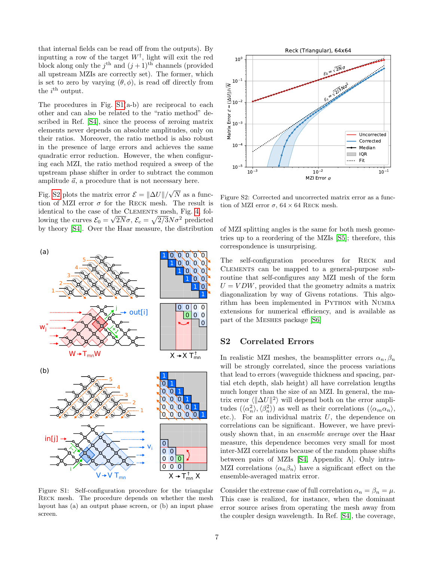that internal fields can be read off from the outputs). By inputting a row of the target  $W^{\dagger}$ , light will exit the red block along only the  $j^{\text{th}}$  and  $(j+1)^{\text{th}}$  channels (provided all upstream MZIs are correctly set). The former, which is set to zero by varying  $(\theta, \phi)$ , is read off directly from the  $i^{\text{th}}$  output.

The procedures in Fig. [S1\(](#page-6-0)a-b) are reciprocal to each other and can also be related to the "ratio method" described in Ref. [\[S4\]](#page-7-3), since the process of zeroing matrix elements never depends on absolute amplitudes, only on their ratios. Moreover, the ratio method is also robust in the presence of large errors and achieves the same quadratic error reduction. However, the when configuring each MZI, the ratio method required a sweep of the upstream phase shifter in order to subtract the common amplitude  $\vec{a}$ , a procedure that is not necessary here.

Fig. [S2](#page-6-1) plots the matrix error  $\mathcal{E} = ||\Delta U||/$ √  $N$  as a function of MZI error  $\sigma$  for the RECK mesh. The result is identical to the case of the CLEMENTS mesh, Fig. [4,](#page-2-0) following the curves  $\mathcal{E}_0 = \sqrt{2N}\sigma$ ,  $\mathcal{E}_c = \sqrt{2/3}N\sigma^2$  predicted by theory [\[S4\]](#page-7-3). Over the Haar measure, the distribution

<span id="page-6-0"></span>

Figure S1: Self-configuration procedure for the triangular Reck mesh. The procedure depends on whether the mesh layout has (a) an output phase screen, or (b) an input phase screen.

<span id="page-6-1"></span>

Figure S2: Corrected and uncorrected matrix error as a function of MZI error  $\sigma$ , 64  $\times$  64 RECK mesh.

of MZI splitting angles is the same for both mesh geometries up to a reordering of the MZIs [\[S5\]](#page-7-4); therefore, this correspondence is unsurprising.

The self-configuration procedures for Reck and Clements can be mapped to a general-purpose subroutine that self-configures any MZI mesh of the form  $U = VDW$ , provided that the geometry admits a matrix diagonalization by way of Givens rotations. This algorithm has been implemented in PYTHON with NUMBA extensions for numerical efficiency, and is available as part of the Meshes package [\[S6\]](#page-7-5)

## S2 Correlated Errors

In realistic MZI meshes, the beamsplitter errors  $\alpha_n, \beta_n$ will be strongly correlated, since the process variations that lead to errors (waveguide thickness and spacing, partial etch depth, slab height) all have correlation lengths much longer than the size of an MZI. In general, the matrix error  $\langle \Vert \Delta U \Vert^2 \rangle$  will depend both on the error amplitudes  $(\langle \alpha_n^2 \rangle, \langle \beta_n^2 \rangle)$  as well as their correlations  $(\langle \alpha_m \alpha_n \rangle,$ etc.). For an individual matrix  $U$ , the dependence on correlations can be significant. However, we have previously shown that, in an ensemble average over the Haar measure, this dependence becomes very small for most inter-MZI correlations because of the random phase shifts between pairs of MZIs [\[S4,](#page-7-3) Appendix A]. Only intra-MZI correlations  $\langle \alpha_n \beta_n \rangle$  have a significant effect on the ensemble-averaged matrix error.

Consider the extreme case of full correlation  $\alpha_n = \beta_n = \mu$ . This case is realized, for instance, when the dominant error source arises from operating the mesh away from the coupler design wavelength. In Ref. [\[S4\]](#page-7-3), the coverage,